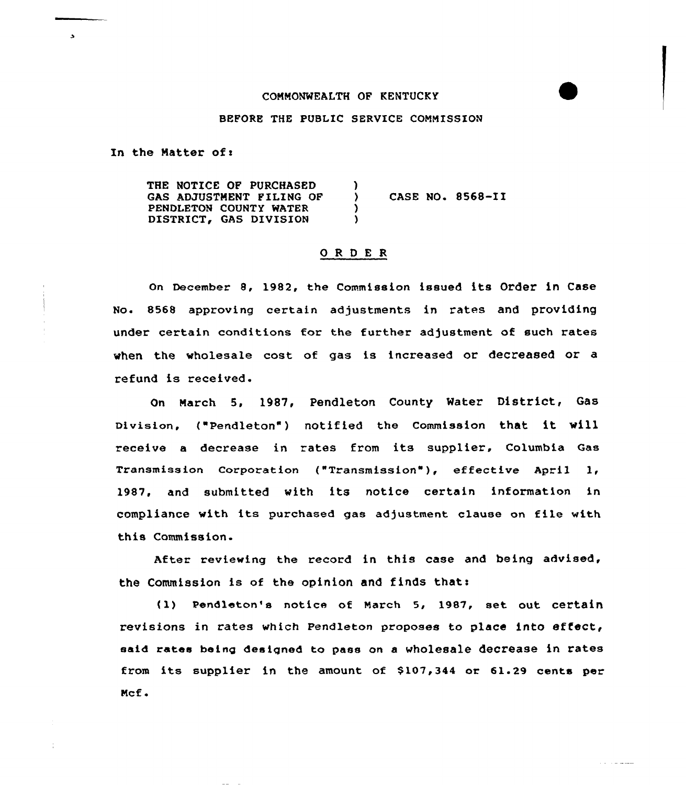## CONNONWEALTH OF KENTUCKY

### BEFORE THE PUBLIC SERVICE COMMISSION

In the Matter of:

 $\mathbf{r}$ 

THE NOTICE OF PURCHASED GAS ADJUSTNENT FILING OF PENDLETON COUNTY WATER DISTRICT, GAS DIVISION  $\lambda$ CASE NO. 8568-11 ) )

## ORDER

on December 8, 1982, the Commission issued its Order in Case No« 8568 approving certain adjustments in rates and providing under certain conditions tor the further adjustment of such rates when the wholesale cost of gas is increased or decreased or a refund is received.

On March 5, 1987, pendleton County water District, Gas Division, ("Pendleton") notified the Commission that it will receive <sup>a</sup> decrease in rates from its supplier, Columbia Gas Transmission Corporation ("Transmission" ), effective April 1, 1987, and submitted with its notice certain information in compliance with its purchased gas adjustment clause on file with this Commission.

After reviewing the record in this case and being advised, the Commission is of the opinion and finds that:

(1) Pendleton's notice of March 5, 1987, set out certain revisions in rates which Pendleton proposes to place into effect, said rates being designed to pass on a wholesale decrease in rates from its supplier in the amount of \$107,344 or 61.29 cents per Ncf <sup>~</sup>

and the second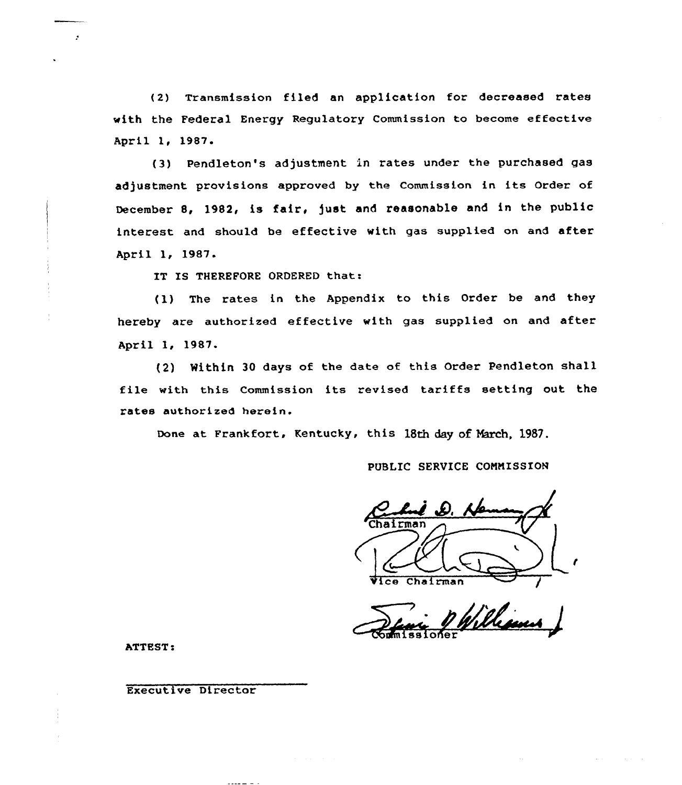(2) Transmission filed an application for decreased rates with the Federal Energy Regulatory Commission to become effective April 1, 1987.

(3) Pendleton's adjustment in rates under the purchased gas adjustment provisions approved by the Commission in its Order of December 8, 1982, is fair, Just and reasonable and in the public interest and should be effective with gas supplied on and after April 1, 1987.

IT IS THEREFORE ORDERED that:

(1) The rates in the Appendix to this Order be and they hereby are authorized effective with gas supplied on and after April 1, 1987.

(2) Mithin <sup>30</sup> days of the date of this Order Pendleton shall file with this Commission its revised tariffs setting out the rates authorised herein.

Done at Frankfort, Kentucky, this 13th day of March, 1987.

PUBLIC SERVICE CONNISSION

Chairman Vice Chairman

sioher

ATTEST.

 $\mathcal{L}$ 

Executive Director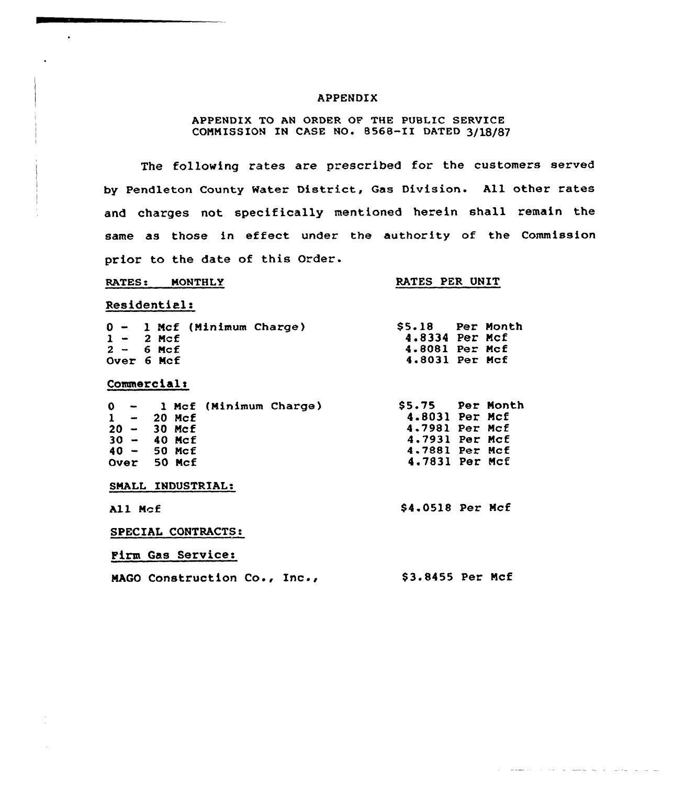### APPENDIX

## APPENDIX TO AN ORDER OF THE PUBLIC SERVICE COMMISSION IN CASE NO. 8568-II DATED 3/18/87

The fallowing rates are prescribed for the customers served by Pendleton County Water District, Gas Division. All other rates and charges not specifically mentioned herein shall remain the same as those in effect under the authority of the Commission prior to the date of this Order.

### RATES: MONTHLY

## RATES PER UNIT

\$4.0518 Per Ncf

and the company of the company of the company of the company of the company of the company of the company of the company of the company of the company of the company of the company of the company of the company of the comp

## Residential:

 $\bullet$ 

| $1 - 2$ Mcf<br>$2 - 6$ Mcf |  | $0 - 1$ Mcf (Minimum Charge) | \$5.18 Per Month<br>4.8334 Per Mcf<br>4.8081 Per Mcf |  |
|----------------------------|--|------------------------------|------------------------------------------------------|--|
| Over 6 Mcf                 |  |                              | 4.8031 Per Mcf                                       |  |

## Commercial:

|  |               | 0 - 1 Mcf (Minimum Charge) | \$5.75 Per Month |  |
|--|---------------|----------------------------|------------------|--|
|  | $1 - 20$ Mcf  |                            | 4.8031 Per Mcf   |  |
|  | $20 - 30$ Mcf |                            | 4.7981 Per Mcf   |  |
|  | $30 - 40$ Mcf |                            | 4.7931 Per Mcf   |  |
|  | $40 - 50$ Mcf |                            | 4.7881 Per Mcf   |  |
|  | Over 50 Mcf   |                            | 4.7831 Per Mcf   |  |
|  |               | SMALL INDUSTRIAL:          |                  |  |

All Ncf

### SPECIAL CONTRACTS

Pirm Gas Services

NAGO Construction Co., Inc., \$ 3.8455 Per Mcf